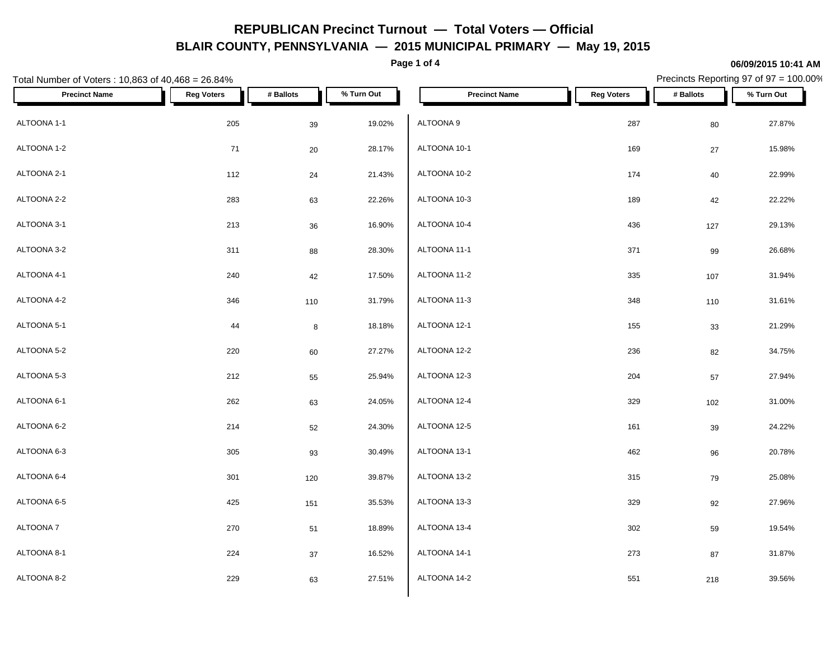**Page 1 of 4**

#### Total Number of Voters : 10,863 of 40,468 = 26.84% Precincts Reporting 97 of 97 = 100.00% **Precinct Name Reg Voters # Ballots % Turn Out Precinct Name Reg Voters # Ballots % Turn Out** ALTOONA 1-1 205 39 19.02% ALTOONA 1-2  $20$  28.17% ALTOONA 10-1 ALTOONA 2-1 112 24 21.43% ALTOONA 2-2 283 63 22.26% ALTOONA 3-1 213 36 16.90% ALTOONA 3-2  $311$   $88$   $28.30\%$  ALTOONA 11-1 ALTOONA 4-1 240 42 17.50% ALTOONA 4-2 346 110 31.79% ALTOONA 5-1 44 8 18.18% ALTOONA 5-2 220 60 27.27% ALTOONA 5-3 212 55 25.94% ALTOONA 6-1 262 63 24.05%  $\textsf{ALTOONA 6-2} \quad \textcolor{red}{\textsf{A}\textsf{LTOONA 12-5}} \quad \textcolor{red}{\textsf{24.30\%}} \quad \textcolor{red}{\textsf{A}\textsf{LTOONA 12-5}}$ ALTOONA 6-3 305 93 30.49% ALTOONA 6-4 301 120 39.87% ALTOONA 6-5 425 151 35.53% ALTOONA 7 270 51 18.89% ALTOONA 8-1 224 37 16.52%  $\triangle$  ALTOONA 8-2 229 63 27.51%  $\parallel$  ALTOONA 14-2  $ALTOONA 9$  287 80 27.87% ALTOONA 10-1 169 27 15.98% ALTOONA 10-2 174 40 22.99% ALTOONA 10-3 189 42 22.22% ALTOONA 10-4 29.13% ALTOONA 11-1 371 99 26.68% ALTOONA 11-2 335 107 31.94% ALTOONA 11-3 348 110 31.61% ALTOONA 12-1 2008 21.29% ALTOONA 12-2 236 82 34.75% ALTOONA 12-3 204 57 27.94% ALTOONA 12-4 329 102 31.00% ALTOONA 12-5 161 2002 161 2003 161 2004 161 2004 161 2012 161 2012 161 2012 161 2012 161 2012 161 2012 161 20 ALTOONA 13-1 462 96 20.78% ALTOONA 13-2 315 79 25.08% ALTOONA 13-3 329 92 27.96% ALTOONA 13-4 302 59 19.54% ALTOONA 14-1 273 87 31.87% ALTOONA 14-2 39.56%

**06/09/2015 10:41 AM**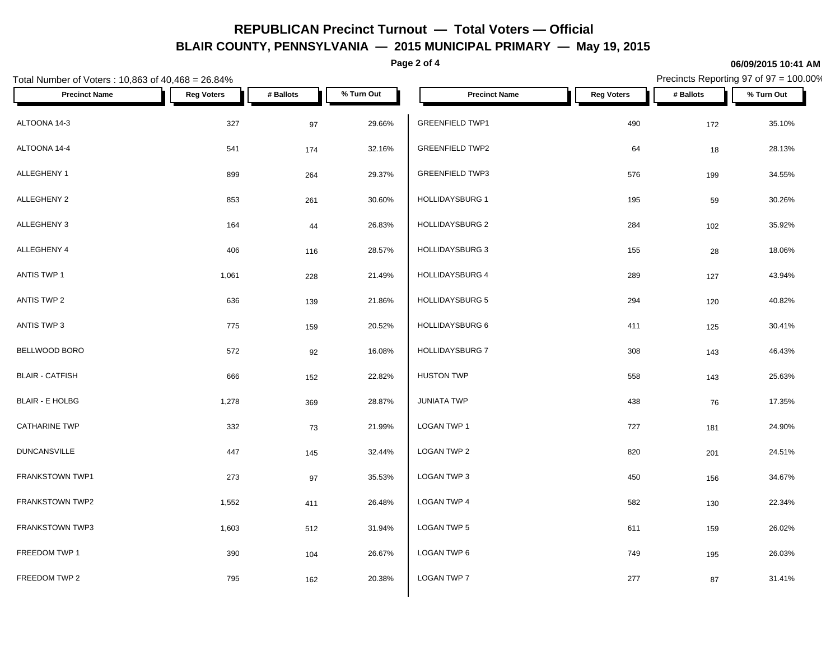**Page 2 of 4**

### Total Number of Voters : 10,863 of 40,468 = 26.84% Precincts Reporting 97 of 97 = 100.00% **Precinct Name Reg Voters # Ballots % Turn Out Precinct Name Reg Voters # Ballots % Turn Out** ALTOONA 14-3 327 97 29.66% GREENFIELD TWP1 490 172 35.10% ALTOONA 14-4 541 32.16% GREENFIELD TWP2 64 28.13% ALLEGHENY 1 899 264 29.37% ALLEGHENY 2 853 261 30.60% HOLLIDAYSBURG 1 ALLEGHENY 3 164 26.83% HOLLIDAYSBURG 2 284 102 35.92% ALLEGHENY 4 406 116 28.57% HOLLIDAYSBURG 3 ANTIS TWP 1 1,061 228 21.49% HOLLIDAYSBURG 4 ANTIS TWP 2  $\begin{array}{ccc} 636 & 139 & 21.86\% \end{array}$  HOLLIDAYSBURG 5 ANTIS TWP 3  $775$   $775$   $159$   $20.52\%$   $HOLIDAYSBURG 6$ BELLWOOD BORO 572 92 16.08% BLAIR - CATFISH 666 152 22.82% BLAIR - E HOLBG 1,278 369 28.87% JUNIATA TWP CATHARINE TWP 332 73 21.99% DUNCANSVILLE 447 145 32.44% FRANKSTOWN TWP1 273 273 97 35.53% LOGAN TWP 3 FRANKSTOWN TWP2 1,552 411 26.48% LOGAN TWP 4 FRANKSTOWN TWP3 **1,603** 512 31.94% LOGAN TWP 5 FREEDOM TWP 1  $390$   $104$   $26.67\%$   $\bigcup$  LOGAN TWP 6 FREEDOM TWP 2  $795$   $162$   $20.38\%$   $LOGAN TWP 7$ GREENFIELD TWP3 576 199 34.55%  $HOLLIDAYSBURG1$  195  $59$  30.26% HOLLIDAYSBURG 3 155 28 18.06% HOLLIDAYSBURG 4 289 127 43.94% HOLLIDAYSBURG 5 294 120 40.82% HOLLIDAYSBURG 6 411 125 30.41% HOLLIDAYSBURG 7 308 143 46.43% HUSTON TWP 558 143 25.63%  $JUNIATA TWP$  and the contract of the contract of the 438  $\hbox{--}76$  and the 17.35% of the contract of the contract of the contract of the contract of the contract of the contract of the contract of the contract of the contrac LOGAN TWP 1 727 181 24.90%  $\textsf{\small LOGAN\,TWP\,2}\qquad \qquad 24.51\%$ LOGAN TWP 3 450 156 34.67%  $\,$  LOGAN TWP 4  $\,$   $\,$  582  $\,$   $\,$  130  $\,$  22.34%  $\,$  $\,$  LOGAN TWP 5  $\,$  611  $\,$  159  $\,$  26.02%  $\,$ LOGAN TWP 6 749 195 26.03% LOGAN TWP 7 277 277 87 31.41%

**06/09/2015 10:41 AM**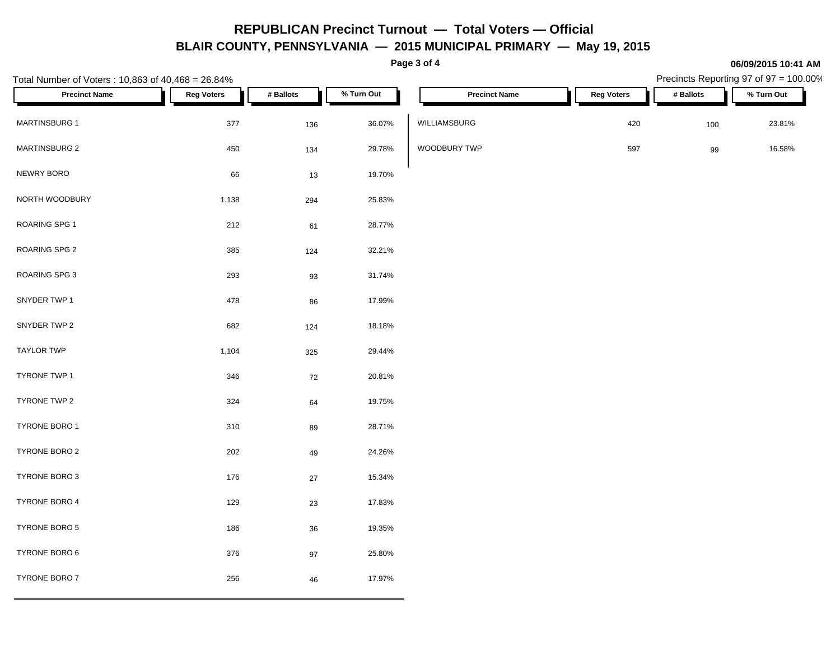**Page 3 of 4**

| Total Number of Voters: 10,863 of 40,468 = 26.84% |                   |           |            |                      | Precincts Reporting 97 of 97 = 100.00% |           |            |  |
|---------------------------------------------------|-------------------|-----------|------------|----------------------|----------------------------------------|-----------|------------|--|
| <b>Precinct Name</b>                              | <b>Reg Voters</b> | # Ballots | % Turn Out | <b>Precinct Name</b> | <b>Reg Voters</b>                      | # Ballots | % Turn Out |  |
| MARTINSBURG 1                                     | 377               | 136       | 36.07%     | WILLIAMSBURG         | 420                                    | 100       | 23.81%     |  |
| <b>MARTINSBURG 2</b>                              | 450               | 134       | 29.78%     | WOODBURY TWP         | 597                                    | $99\,$    | 16.58%     |  |
| NEWRY BORO                                        | 66                | $13$      | 19.70%     |                      |                                        |           |            |  |
| NORTH WOODBURY                                    | 1,138             | 294       | 25.83%     |                      |                                        |           |            |  |
| ROARING SPG 1                                     | 212               | 61        | 28.77%     |                      |                                        |           |            |  |
| ROARING SPG 2                                     | 385               | 124       | 32.21%     |                      |                                        |           |            |  |
| ROARING SPG 3                                     | 293               | 93        | 31.74%     |                      |                                        |           |            |  |
| SNYDER TWP 1                                      | 478               | 86        | 17.99%     |                      |                                        |           |            |  |
| SNYDER TWP 2                                      | 682               | 124       | 18.18%     |                      |                                        |           |            |  |
| TAYLOR TWP                                        | 1,104             | 325       | 29.44%     |                      |                                        |           |            |  |
| TYRONE TWP 1                                      | 346               | 72        | 20.81%     |                      |                                        |           |            |  |
| TYRONE TWP 2                                      | 324               | 64        | 19.75%     |                      |                                        |           |            |  |
| TYRONE BORO 1                                     | 310               | 89        | 28.71%     |                      |                                        |           |            |  |
| TYRONE BORO 2                                     | 202               | 49        | 24.26%     |                      |                                        |           |            |  |
| TYRONE BORO 3                                     | 176               | $27\,$    | 15.34%     |                      |                                        |           |            |  |
| TYRONE BORO 4                                     | 129               | 23        | 17.83%     |                      |                                        |           |            |  |
| TYRONE BORO 5                                     | 186               | 36        | 19.35%     |                      |                                        |           |            |  |
| TYRONE BORO 6                                     | 376               | $97\,$    | 25.80%     |                      |                                        |           |            |  |
| TYRONE BORO 7                                     | 256               | 46        | 17.97%     |                      |                                        |           |            |  |

**06/09/2015 10:41 AM**